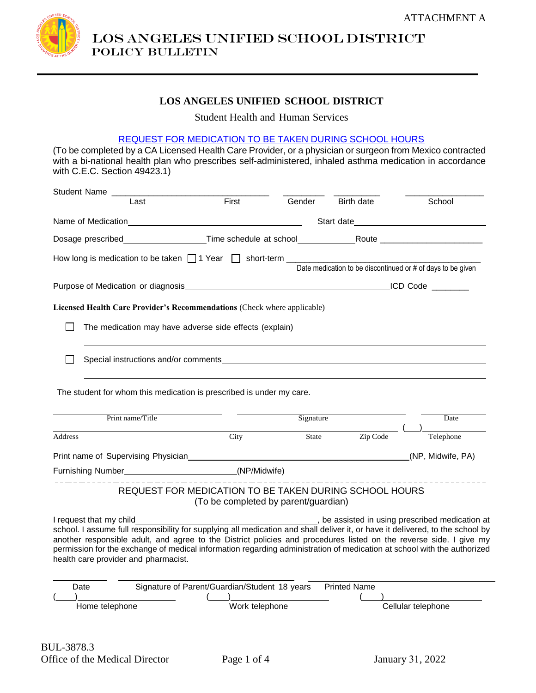

LOS ANGELES UNIFIED SCHOOL DISTRICT Policy bulletin

#### **LOS ANGELES UNIFIED SCHOOL DISTRICT**

Student Health and Human Services

#### REQUEST FOR MEDICATION TO BE TAKEN DURING SCHOOL HOURS

(To be completed by a CA Licensed Health Care Provider, or a physician or surgeon from Mexico contracted with a bi-national health plan who prescribes self-administered, inhaled asthma medication in accordance with C.E.C. Section 49423.1)

|                  | Student Name                                                                                                                                                                                                                                                                                                                                                                                                                                       |                                                                                                |                           |                     |                                                                                                                                                                                                                                |
|------------------|----------------------------------------------------------------------------------------------------------------------------------------------------------------------------------------------------------------------------------------------------------------------------------------------------------------------------------------------------------------------------------------------------------------------------------------------------|------------------------------------------------------------------------------------------------|---------------------------|---------------------|--------------------------------------------------------------------------------------------------------------------------------------------------------------------------------------------------------------------------------|
|                  | Last                                                                                                                                                                                                                                                                                                                                                                                                                                               | First                                                                                          | Gender                    | Birth date          | School                                                                                                                                                                                                                         |
|                  | Name of Medication                                                                                                                                                                                                                                                                                                                                                                                                                                 |                                                                                                |                           |                     | Start date and the start of the start of the start of the start of the start of the start of the start of the start of the start of the start of the start of the start of the start of the start of the start of the start of |
|                  | Dosage prescribed_____________________Time schedule at school______________Route _________________________                                                                                                                                                                                                                                                                                                                                         |                                                                                                |                           |                     |                                                                                                                                                                                                                                |
|                  | How long is medication to be taken $\Box$ 1 Year $\Box$ short-term $\Box$                                                                                                                                                                                                                                                                                                                                                                          |                                                                                                |                           |                     |                                                                                                                                                                                                                                |
|                  |                                                                                                                                                                                                                                                                                                                                                                                                                                                    |                                                                                                |                           |                     | Date medication to be discontinued or # of days to be given                                                                                                                                                                    |
|                  | Purpose of Medication or diagnosis                                                                                                                                                                                                                                                                                                                                                                                                                 |                                                                                                |                           |                     |                                                                                                                                                                                                                                |
|                  | Licensed Health Care Provider's Recommendations (Check where applicable)                                                                                                                                                                                                                                                                                                                                                                           |                                                                                                |                           |                     |                                                                                                                                                                                                                                |
|                  | The medication may have adverse side effects (explain) _________________________                                                                                                                                                                                                                                                                                                                                                                   |                                                                                                |                           |                     |                                                                                                                                                                                                                                |
|                  | Special instructions and/or comments example and the state of the state of the state of the state of the state of the state of the state of the state of the state of the state of the state of the state of the state of the                                                                                                                                                                                                                      |                                                                                                |                           |                     |                                                                                                                                                                                                                                |
|                  | The student for whom this medication is prescribed is under my care.                                                                                                                                                                                                                                                                                                                                                                               |                                                                                                |                           |                     |                                                                                                                                                                                                                                |
| Print name/Title |                                                                                                                                                                                                                                                                                                                                                                                                                                                    |                                                                                                | Signature                 |                     | Date                                                                                                                                                                                                                           |
| <b>Address</b>   |                                                                                                                                                                                                                                                                                                                                                                                                                                                    | City                                                                                           | $\overline{\text{State}}$ | Zip Code            | Telephone                                                                                                                                                                                                                      |
|                  |                                                                                                                                                                                                                                                                                                                                                                                                                                                    |                                                                                                |                           |                     | (NP, Midwife, PA)                                                                                                                                                                                                              |
|                  | Furnishing Number________________________________(NP/Midwife)                                                                                                                                                                                                                                                                                                                                                                                      |                                                                                                |                           |                     |                                                                                                                                                                                                                                |
|                  |                                                                                                                                                                                                                                                                                                                                                                                                                                                    | REQUEST FOR MEDICATION TO BE TAKEN DURING SCHOOL HOURS<br>(To be completed by parent/guardian) |                           |                     |                                                                                                                                                                                                                                |
|                  | I request that my child<br>school. I assume full responsibility for supplying all medication and shall deliver it, or have it delivered, to the school by<br>another responsible adult, and agree to the District policies and procedures listed on the reverse side. I give my<br>permission for the exchange of medical information regarding administration of medication at school with the authorized<br>health care provider and pharmacist. |                                                                                                |                           |                     | be assisted in using prescribed medication at                                                                                                                                                                                  |
|                  | Date<br>Home telephone                                                                                                                                                                                                                                                                                                                                                                                                                             | Signature of Parent/Guardian/Student 18 years<br>Work telephone                                |                           | <b>Printed Name</b> | Cellular telephone                                                                                                                                                                                                             |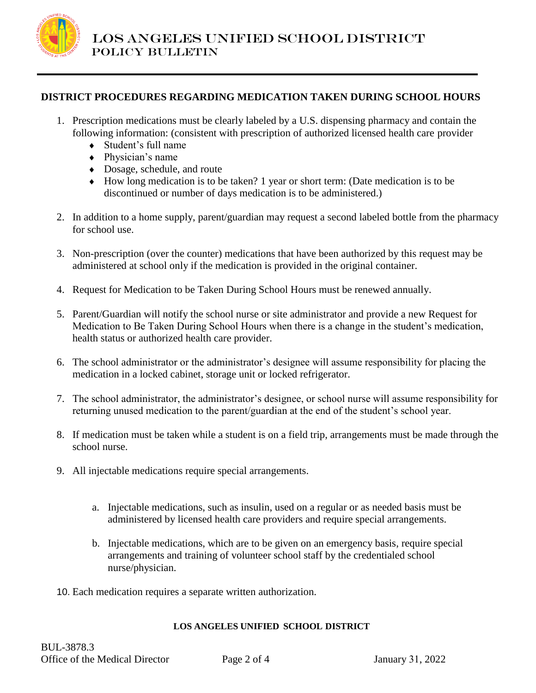

### **DISTRICT PROCEDURES REGARDING MEDICATION TAKEN DURING SCHOOL HOURS**

- 1. Prescription medications must be clearly labeled by a U.S. dispensing pharmacy and contain the following information: (consistent with prescription of authorized licensed health care provider
	- Student's full name
	- Physician's name
	- Dosage, schedule, and route
	- How long medication is to be taken? 1 year or short term: (Date medication is to be discontinued or number of days medication is to be administered.)
- 2. In addition to a home supply, parent/guardian may request a second labeled bottle from the pharmacy for school use.
- 3. Non-prescription (over the counter) medications that have been authorized by this request may be administered at school only if the medication is provided in the original container.
- 4. Request for Medication to be Taken During School Hours must be renewed annually.
- 5. Parent/Guardian will notify the school nurse or site administrator and provide a new Request for Medication to Be Taken During School Hours when there is a change in the student's medication, health status or authorized health care provider.
- 6. The school administrator or the administrator's designee will assume responsibility for placing the medication in a locked cabinet, storage unit or locked refrigerator.
- 7. The school administrator, the administrator's designee, or school nurse will assume responsibility for returning unused medication to the parent/guardian at the end of the student's school year.
- 8. If medication must be taken while a student is on a field trip, arrangements must be made through the school nurse.
- 9. All injectable medications require special arrangements.
	- a. Injectable medications, such as insulin, used on a regular or as needed basis must be administered by licensed health care providers and require special arrangements.
	- b. Injectable medications, which are to be given on an emergency basis, require special arrangements and training of volunteer school staff by the credentialed school nurse/physician.
- 10. Each medication requires a separate written authorization.

#### **LOS ANGELES UNIFIED SCHOOL DISTRICT**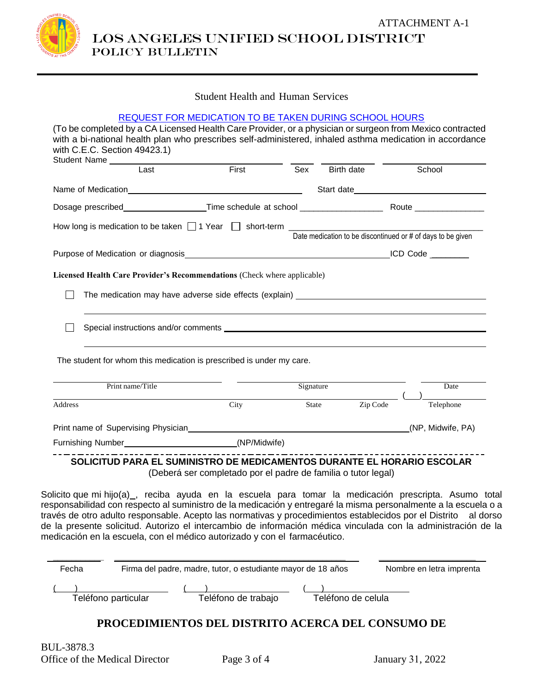

LOS ANGELES UNIFIED SCHOOL DISTRICT POLICY BULLETIN

### Student Health and Human Services

|                  | Student Name I ast First                                                                                                                                                                                                                                                                                                                                                                                                                            | Sex Birth date School |                                                             |  |                                                                                                                                                     |  |
|------------------|-----------------------------------------------------------------------------------------------------------------------------------------------------------------------------------------------------------------------------------------------------------------------------------------------------------------------------------------------------------------------------------------------------------------------------------------------------|-----------------------|-------------------------------------------------------------|--|-----------------------------------------------------------------------------------------------------------------------------------------------------|--|
|                  |                                                                                                                                                                                                                                                                                                                                                                                                                                                     |                       |                                                             |  |                                                                                                                                                     |  |
|                  |                                                                                                                                                                                                                                                                                                                                                                                                                                                     |                       |                                                             |  |                                                                                                                                                     |  |
|                  |                                                                                                                                                                                                                                                                                                                                                                                                                                                     |                       | Date medication to be discontinued or # of days to be given |  |                                                                                                                                                     |  |
|                  |                                                                                                                                                                                                                                                                                                                                                                                                                                                     |                       |                                                             |  |                                                                                                                                                     |  |
|                  | Licensed Health Care Provider's Recommendations (Check where applicable)                                                                                                                                                                                                                                                                                                                                                                            |                       |                                                             |  |                                                                                                                                                     |  |
|                  |                                                                                                                                                                                                                                                                                                                                                                                                                                                     |                       |                                                             |  |                                                                                                                                                     |  |
|                  |                                                                                                                                                                                                                                                                                                                                                                                                                                                     |                       |                                                             |  |                                                                                                                                                     |  |
|                  |                                                                                                                                                                                                                                                                                                                                                                                                                                                     |                       |                                                             |  |                                                                                                                                                     |  |
|                  |                                                                                                                                                                                                                                                                                                                                                                                                                                                     |                       |                                                             |  |                                                                                                                                                     |  |
|                  | The student for whom this medication is prescribed is under my care.                                                                                                                                                                                                                                                                                                                                                                                |                       |                                                             |  |                                                                                                                                                     |  |
| Print name/Title |                                                                                                                                                                                                                                                                                                                                                                                                                                                     |                       | Signature                                                   |  | Date                                                                                                                                                |  |
|                  | City                                                                                                                                                                                                                                                                                                                                                                                                                                                | $\sqrt{1 + 1}$        |                                                             |  | $\begin{tabular}{c} \multicolumn{2}{c }{ \textbf{Zip Code}} \end{tabular} \begin{tabular}{c} \multicolumn{2}{c }{ \textbf{Liephone}} \end{tabular}$ |  |
|                  |                                                                                                                                                                                                                                                                                                                                                                                                                                                     |                       |                                                             |  |                                                                                                                                                     |  |
|                  | Furnishing Number______________________________(NP/Midwife)                                                                                                                                                                                                                                                                                                                                                                                         |                       |                                                             |  |                                                                                                                                                     |  |
|                  | SOLICITUD PARA EL SUMINISTRO DE MEDICAMENTOS DURANTE EL HORARIO ESCOLAR<br>(Deberá ser completado por el padre de familia o tutor legal)                                                                                                                                                                                                                                                                                                            |                       |                                                             |  |                                                                                                                                                     |  |
|                  | Solicito que mi hijo(a)_, reciba ayuda en la escuela para tomar la medicación prescripta. Asumo total<br>responsabilidad con respecto al suministro de la medicación y entregaré la misma personalmente a la escuela o a<br>través de otro adulto responsable. Acepto las normativas y procedimientos establecidos por el Distrito<br>de la presente solicitud. Autorizo el intercambio de información médica vinculada con la administración de la |                       |                                                             |  | al dorso                                                                                                                                            |  |
| Address          | medicación en la escuela, con el médico autorizado y con el farmacéutico.                                                                                                                                                                                                                                                                                                                                                                           |                       |                                                             |  |                                                                                                                                                     |  |

# **PROCEDIMIENTOS DEL DISTRITO ACERCA DEL CONSUMO DE**